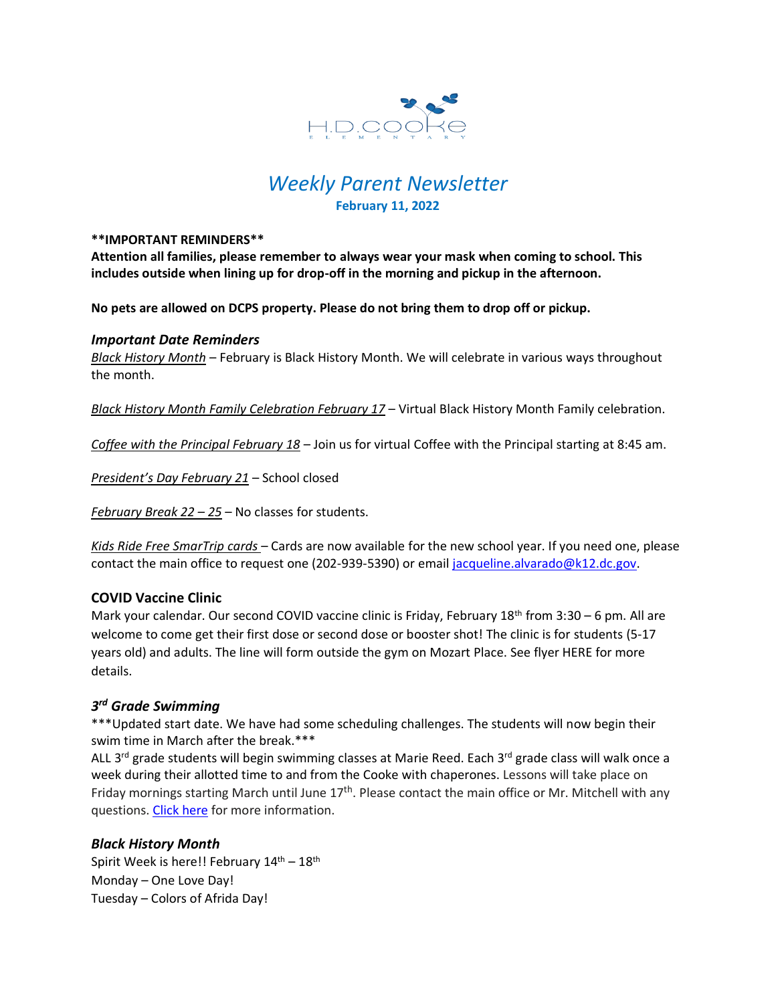

# *Weekly Parent Newsletter* **February 11, 2022**

#### **\*\*IMPORTANT REMINDERS\*\***

**Attention all families, please remember to always wear your mask when coming to school. This includes outside when lining up for drop-off in the morning and pickup in the afternoon.** 

**No pets are allowed on DCPS property. Please do not bring them to drop off or pickup.** 

#### *Important Date Reminders*

*Black History Month* – February is Black History Month. We will celebrate in various ways throughout the month.

*Black History Month Family Celebration February 17* – Virtual Black History Month Family celebration.

*Coffee with the Principal February 18* – Join us for virtual Coffee with the Principal starting at 8:45 am.

*President's Day February 21* – School closed

*February Break 22 – 25* – No classes for students.

*Kids Ride Free SmarTrip cards* – Cards are now available for the new school year. If you need one, please contact the main office to request one (202-939-5390) or email [jacqueline.alvarado@k12.dc.gov.](mailto:jacqueline.alvarado@k12.dc.gov)

## **COVID Vaccine Clinic**

Mark your calendar. Our second COVID vaccine clinic is Friday, February 18<sup>th</sup> from 3:30 – 6 pm. All are welcome to come get their first dose or second dose or booster shot! The clinic is for students (5-17 years old) and adults. The line will form outside the gym on Mozart Place. See flyer HERE for more details.

## *3 rd Grade Swimming*

\*\*\*Updated start date. We have had some scheduling challenges. The students will now begin their swim time in March after the break.\*\*\*

ALL 3<sup>rd</sup> grade students will begin swimming classes at Marie Reed. Each 3<sup>rd</sup> grade class will walk once a week during their allotted time to and from the Cooke with chaperones. Lessons will take place on Friday mornings starting March until June 17<sup>th</sup>. Please contact the main office or Mr. Mitchell with any questions[. Click here](https://www.hdcookeschool.org/newsletters) for more information.

## *Black History Month*

Spirit Week is here!! February  $14^{\text{th}}$  –  $18^{\text{th}}$ Monday – One Love Day! Tuesday – Colors of Afrida Day!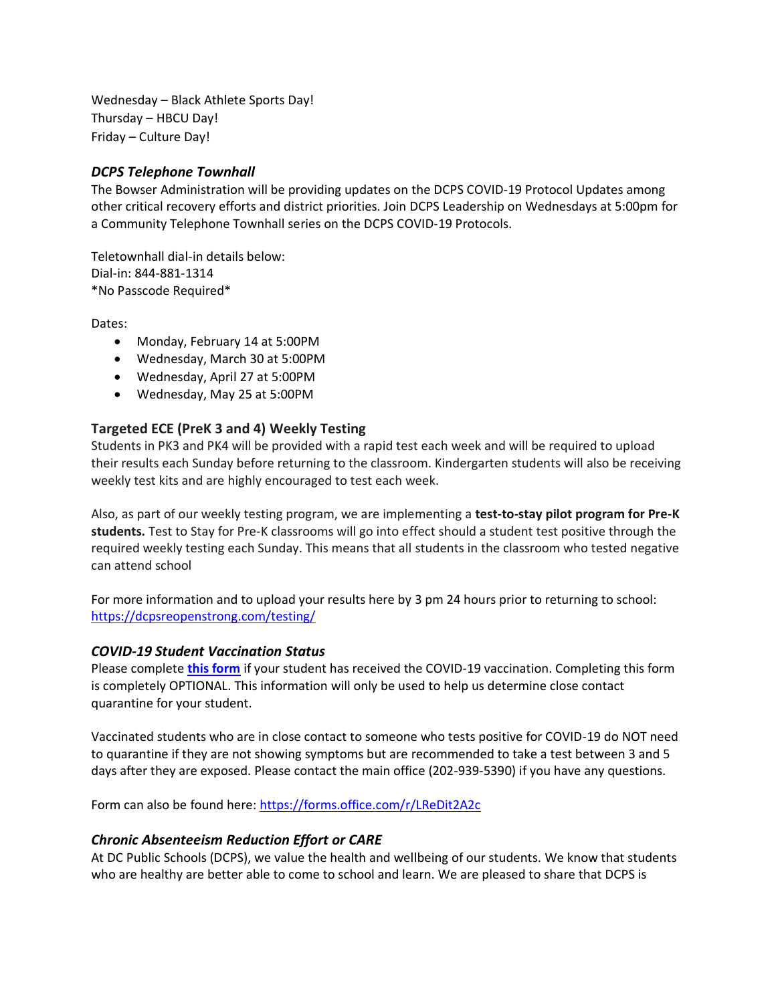Wednesday – Black Athlete Sports Day! Thursday – HBCU Day! Friday – Culture Day!

## *DCPS Telephone Townhall*

The Bowser Administration will be providing updates on the DCPS COVID-19 Protocol Updates among other critical recovery efforts and district priorities. Join DCPS Leadership on Wednesdays at 5:00pm for a Community Telephone Townhall series on the DCPS COVID-19 Protocols.

Teletownhall dial-in details below: Dial-in: 844-881-1314 \*No Passcode Required\*

Dates:

- Monday, February 14 at 5:00PM
- Wednesday, March 30 at 5:00PM
- Wednesday, April 27 at 5:00PM
- Wednesday, May 25 at 5:00PM

### **Targeted ECE (PreK 3 and 4) Weekly Testing**

Students in PK3 and PK4 will be provided with a rapid test each week and will be required to upload their results each Sunday before returning to the classroom. Kindergarten students will also be receiving weekly test kits and are highly encouraged to test each week.

Also, as part of our weekly testing program, we are implementing a **test-to-stay pilot program for Pre-K students.** Test to Stay for Pre-K classrooms will go into effect should a student test positive through the required weekly testing each Sunday. This means that all students in the classroom who tested negative can attend school

For more information and to upload your results here by 3 pm 24 hours prior to returning to school: <https://dcpsreopenstrong.com/testing/>

#### *COVID-19 Student Vaccination Status*

Please complete **[this form](https://forms.office.com/r/LReDit2A2c)** if your student has received the COVID-19 vaccination. Completing this form is completely OPTIONAL. This information will only be used to help us determine close contact quarantine for your student.

Vaccinated students who are in close contact to someone who tests positive for COVID-19 do NOT need to quarantine if they are not showing symptoms but are recommended to take a test between 3 and 5 days after they are exposed. Please contact the main office (202-939-5390) if you have any questions.

Form can also be found here:<https://forms.office.com/r/LReDit2A2c>

#### *Chronic Absenteeism Reduction Effort or CARE*

At DC Public Schools (DCPS), we value the health and wellbeing of our students. We know that students who are healthy are better able to come to school and learn. We are pleased to share that DCPS is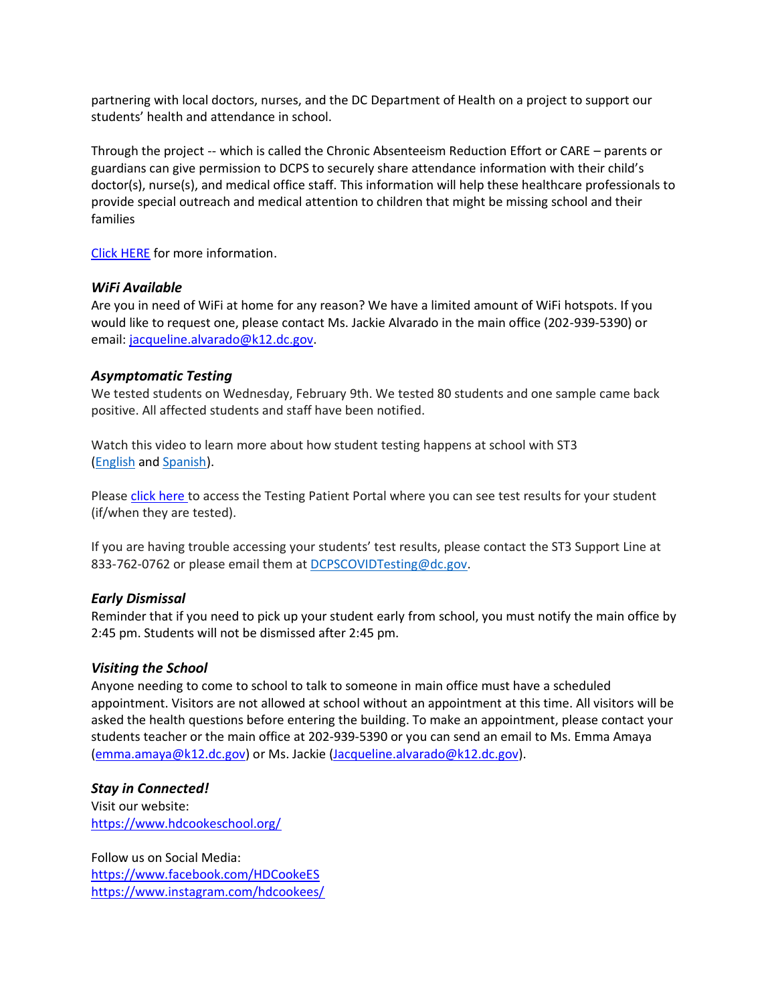partnering with local doctors, nurses, and the DC Department of Health on a project to support our students' health and attendance in school.

Through the project -- which is called the Chronic Absenteeism Reduction Effort or CARE – parents or guardians can give permission to DCPS to securely share attendance information with their child's doctor(s), nurse(s), and medical office staff. This information will help these healthcare professionals to provide special outreach and medical attention to children that might be missing school and their families

[Click HERE](https://dcps.dc.gov/sites/default/files/dc/sites/dcps/page_content/attachments/CARE_Enrollment_packet_-_ENGLISH.pdf) for more information.

#### *WiFi Available*

Are you in need of WiFi at home for any reason? We have a limited amount of WiFi hotspots. If you would like to request one, please contact Ms. Jackie Alvarado in the main office (202-939-5390) or email: [jacqueline.alvarado@k12.dc.gov.](mailto:jacqueline.alvarado@k12.dc.gov)

#### *Asymptomatic Testing*

We tested students on Wednesday, February 9th. We tested 80 students and one sample came back positive. All affected students and staff have been notified.

Watch this video to learn more about how student testing happens at school with ST3 [\(English](https://urldefense.proofpoint.com/v2/url?u=https-3A__rise.articulate.com_share_-2Dq6MdIeo2V42boWuOGTu8i4-2DcT9E-5Fpjy-23_lessons_QicMYr-5FNcrCg54C5EtRyuC-2DwHJjQQVR2&d=DwMFAg&c=euGZstcaTDllvimEN8b7jXrwqOf-v5A_CdpgnVfiiMM&r=r7MsakikdNxOh-N_Ssj9mdJUMRjWvhYw18Eqx42UE40&m=-vbhK74dxdF3UGFM3KXX_Mk-PGWZWrPZHiFLh_rcYM0&s=470EC6i3UbApDRfaxDIuMzBPFqhzK2pNSc-krTjYzOw&e=) and [Spanish\)](https://urldefense.proofpoint.com/v2/url?u=https-3A__youtu.be_PRaXjkFlGGQ&d=DwMFAg&c=euGZstcaTDllvimEN8b7jXrwqOf-v5A_CdpgnVfiiMM&r=r7MsakikdNxOh-N_Ssj9mdJUMRjWvhYw18Eqx42UE40&m=-vbhK74dxdF3UGFM3KXX_Mk-PGWZWrPZHiFLh_rcYM0&s=yCXksETv2O2ZulcBl9cazNcOvmB9Inp-drZAlbuFkaw&e=).

Please click [here](https://shieldt3k12portal.pointnclick.com/login_login.aspx) to access the Testing Patient Portal where you can see test results for your student (if/when they are tested).

If you are having trouble accessing your students' test results, please contact the ST3 Support Line at 833-762-0762 or please email them at [DCPSCOVIDTesting@dc.gov.](mailto:DCPSCOVIDTesting@dc.gov)

#### *Early Dismissal*

Reminder that if you need to pick up your student early from school, you must notify the main office by 2:45 pm. Students will not be dismissed after 2:45 pm.

#### *Visiting the School*

Anyone needing to come to school to talk to someone in main office must have a scheduled appointment. Visitors are not allowed at school without an appointment at this time. All visitors will be asked the health questions before entering the building. To make an appointment, please contact your students teacher or the main office at 202-939-5390 or you can send an email to Ms. Emma Amaya [\(emma.amaya@k12.dc.gov\)](mailto:emma.amaya@k12.dc.gov) or Ms. Jackie [\(Jacqueline.alvarado@k12.dc.gov\)](mailto:Jacqueline.alvarado@k12.dc.gov).

#### *Stay in Connected!*

Visit our website: <https://www.hdcookeschool.org/>

Follow us on Social Media: <https://www.facebook.com/HDCookeES> <https://www.instagram.com/hdcookees/>